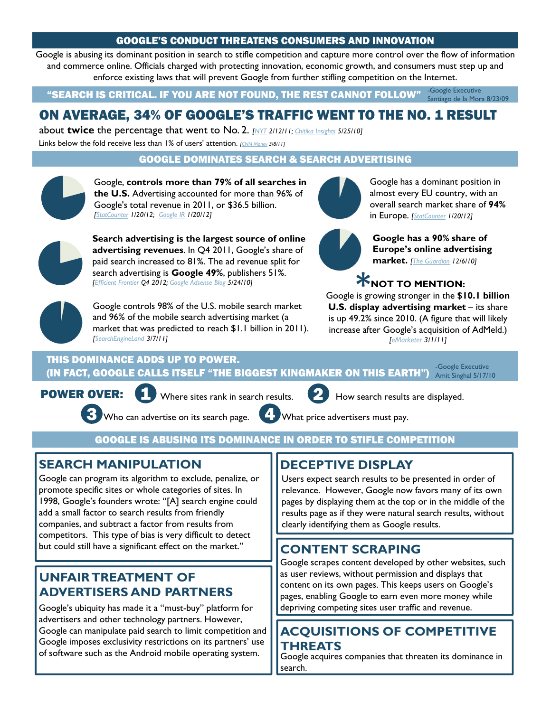## GOOGLE'S CONDUCT THREATENS CONSUMERS AND INNOVATION

Google is abusing its dominant position in search to stifle competition and capture more control over the flow of information and commerce online. Officials charged with protecting innovation, economic growth, and consumers must step up and enforce existing laws that will prevent Google from further stifling competition on the Internet.

"SEARCH IS CRITICAL. IF YOU ARE NOT FOUND, THE REST CANNOT FOLLOW"  $\frac{1\text{Gosegle Executive}}{\text{Santiaso de la Mor}}$ Santiago de la Mora 8/23/09

## ON AVERAGE, 34% OF GOOGLE'S TRAFFIC WENT TO THE NO. 1 RESULT

about **twice** the percentage that went to No. 2. *[NYT 2/12/11; Chitika Insights 5/25/10]*

Links below the fold receive less than 1% of users' attention. *[CNN Money 3/8/11]*

## GOOGLE DOMINATES SEARCH & SEARCH ADVERTISING



Google, **controls more than 79% of all searches in the U.S.** Advertising accounted for more than 96% of Google's total revenue in 2011, or \$36.5 billion. *[StatCounter 1/20/12; [Google IR 1/20/12]* 



Google has a dominant position in almost every EU country, with an overall search market share of **94%**  in Europe. *[StatCounter 1/20/12]*



**Search advertising is the largest source of online advertising revenues**. In Q4 2011, Google's share of paid search increased to 81%. The ad revenue split for search advertising is **Google 49%**, publishers 51%. *[Efficient Frontier Q4 2012; Google Adsense Blog 5/24/10]* 



Google controls 98% of the U.S. mobile search market and 96% of the mobile search advertising market (a market that was predicted to reach \$1.1 billion in 2011). *[SearchEngineLand 3/7/11]*



**Google has a 90% share of Europe's online advertising market.** *[The Guardian 12/6/10]*

# **NOT TO MENTION:**

Google is growing stronger in the **\$10.1 billion U.S. display advertising market** – its share is up 49.2% since 2010. (A figure that will likely increase after Google's acquisition of AdMeld.) *[eMarketer 3/1/11]*  $*<sub>i</sub>$  is grading

#### THIS DOMINANCE ADDS UP TO POWER. (IN FACT, GOOGLE CALLS ITSELF "THE BIGGEST KINGMAKER ON THIS EARTH") Amit Singhal 5/17/10-Google Executive



POWER OVER: 4 Where sites rank in search results.  $\bullet$  How search results are displayed.



Who can advertise on its search page.  $\left(4\right)$  What price advertisers must pay.

## GOOGLE IS ABUSING ITS DOMINANCE IN ORDER TO STIFLE COMPETITION

## **SEARCH MANIPULATION IDECEPTIVE DISPLAY**

Google can program its algorithm to exclude, penalize, or promote specific sites or whole categories of sites. In 1998, Google's founders wrote: "[A] search engine could add a small factor to search results from friendly companies, and subtract a factor from results from competitors. This type of bias is very difficult to detect but could still have a significant effect on the market."

## **UNFAIR TREATMENT OF ADVERTISERS AND PARTNERS**

Google's ubiquity has made it a "must-buy" platform for advertisers and other technology partners. However, Google can manipulate paid search to limit competition and Google imposes exclusivity restrictions on its partners' use of software such as the Android mobile operating system.

Users expect search results to be presented in order of relevance. However, Google now favors many of its own pages by displaying them at the top or in the middle of the results page as if they were natural search results, without clearly identifying them as Google results.

# **CONTENT SCRAPING**

Google scrapes content developed by other websites, such as user reviews, without permission and displays that content on its own pages. This keeps users on Google's pages, enabling Google to earn even more money while depriving competing sites user traffic and revenue.

## **ACQUISITIONS OF COMPETITIVE THREATS**

Google acquires companies that threaten its dominance in search.